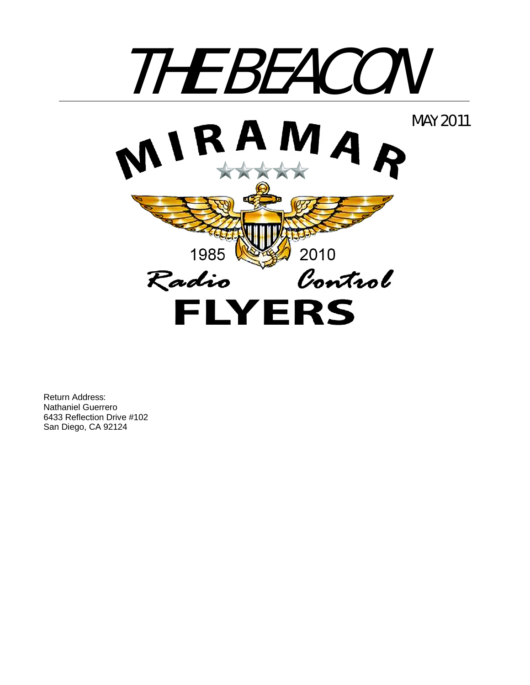

Return Address: Nathaniel Guerrero 6433 Reflection Drive #102 San Diego, CA 92124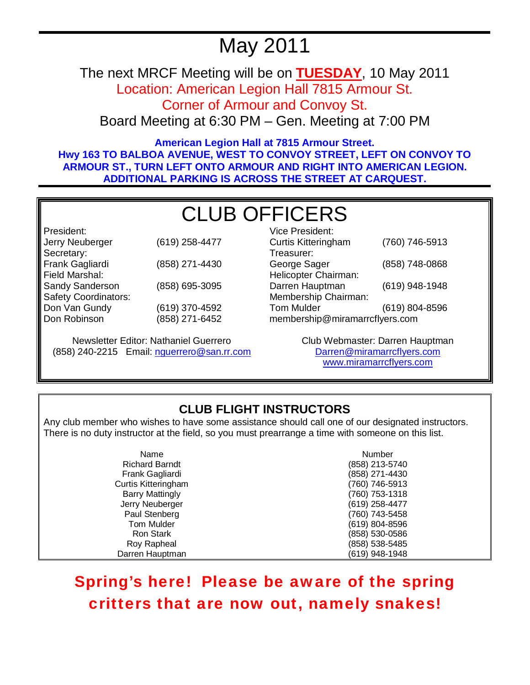# May 2011

The next MRCF Meeting will be on **TUESDAY**, 10 May 2011 Location: American Legion Hall 7815 Armour St.

Corner of Armour and Convoy St.

Board Meeting at 6:30 PM – Gen. Meeting at 7:00 PM

**American Legion Hall at 7815 Armour Street. Hwy 163 TO BALBOA AVENUE, WEST TO CONVOY STREET, LEFT ON CONVOY TO ARMOUR ST., TURN LEFT ONTO ARMOUR AND RIGHT INTO AMERICAN LEGION. ADDITIONAL PARKING IS ACROSS THE STREET AT CARQUEST.** 

# CLUB OFFICERS

President: Jerry Neuberger (619) 258-4477 Secretary: Frank Gagliardi (858) 271-4430 Field Marshal: Sandy Sanderson (858) 695-3095 Safety Coordinators: Don Van Gundy Don Robinson (619) 370-4592 (858) 271-6452

Newsletter Editor: Nathaniel Guerrero (858) 240-2215 Email: nguerrero@san.rr.com

| Vice President:                |                |  |
|--------------------------------|----------------|--|
| <b>Curtis Kitteringham</b>     | (760) 746-5913 |  |
| Treasurer:                     |                |  |
| George Sager                   | (858) 748-0868 |  |
| Helicopter Chairman:           |                |  |
| Darren Hauptman                | (619) 948-1948 |  |
| Membership Chairman:           |                |  |
| <b>Tom Mulder</b>              | (619) 804-8596 |  |
| membership@miramarrcflyers.com |                |  |

Club Webmaster: Darren Hauptman Darren@miramarrcflyers.com www.miramarrcflyers.com

# **CLUB FLIGHT INSTRUCTORS**

Any club member who wishes to have some assistance should call one of our designated instructors. There is no duty instructor at the field, so you must prearrange a time with someone on this list.

| Name                   | <b>Number</b>  |
|------------------------|----------------|
| <b>Richard Barndt</b>  | (858) 213-5740 |
| Frank Gagliardi        | (858) 271-4430 |
| Curtis Kitteringham    | (760) 746-5913 |
| <b>Barry Mattingly</b> | (760) 753-1318 |
| Jerry Neuberger        | (619) 258-4477 |
| Paul Stenberg          | (760) 743-5458 |
| Tom Mulder             | (619) 804-8596 |
| Ron Stark              | (858) 530-0586 |
| Roy Rapheal            | (858) 538-5485 |
| Darren Hauptman        | (619) 948-1948 |

Spring's here! Please be aware of the spring critters that are now out, namely snakes!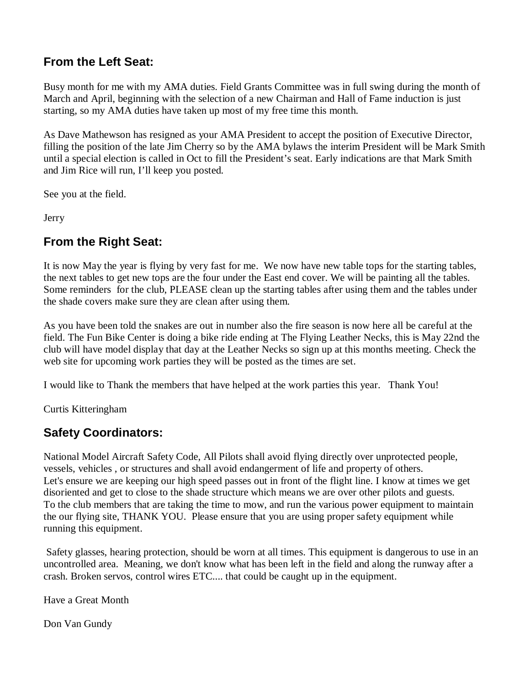# **From the Left Seat:**

Busy month for me with my AMA duties. Field Grants Committee was in full swing during the month of March and April, beginning with the selection of a new Chairman and Hall of Fame induction is just starting, so my AMA duties have taken up most of my free time this month.

As Dave Mathewson has resigned as your AMA President to accept the position of Executive Director, filling the position of the late Jim Cherry so by the AMA bylaws the interim President will be Mark Smith until a special election is called in Oct to fill the President's seat. Early indications are that Mark Smith and Jim Rice will run, I'll keep you posted.

See you at the field.

Jerry

# **From the Right Seat:**

It is now May the year is flying by very fast for me. We now have new table tops for the starting tables, the next tables to get new tops are the four under the East end cover. We will be painting all the tables. Some reminders for the club, PLEASE clean up the starting tables after using them and the tables under the shade covers make sure they are clean after using them.

As you have been told the snakes are out in number also the fire season is now here all be careful at the field. The Fun Bike Center is doing a bike ride ending at The Flying Leather Necks, this is May 22nd the club will have model display that day at the Leather Necks so sign up at this months meeting. Check the web site for upcoming work parties they will be posted as the times are set.

I would like to Thank the members that have helped at the work parties this year. Thank You!

Curtis Kitteringham

## **Safety Coordinators:**

National Model Aircraft Safety Code, All Pilots shall avoid flying directly over unprotected people, vessels, vehicles , or structures and shall avoid endangerment of life and property of others. Let's ensure we are keeping our high speed passes out in front of the flight line. I know at times we get disoriented and get to close to the shade structure which means we are over other pilots and guests. To the club members that are taking the time to mow, and run the various power equipment to maintain the our flying site, THANK YOU. Please ensure that you are using proper safety equipment while running this equipment.

 Safety glasses, hearing protection, should be worn at all times. This equipment is dangerous to use in an uncontrolled area. Meaning, we don't know what has been left in the field and along the runway after a crash. Broken servos, control wires ETC.... that could be caught up in the equipment.

Have a Great Month

Don Van Gundy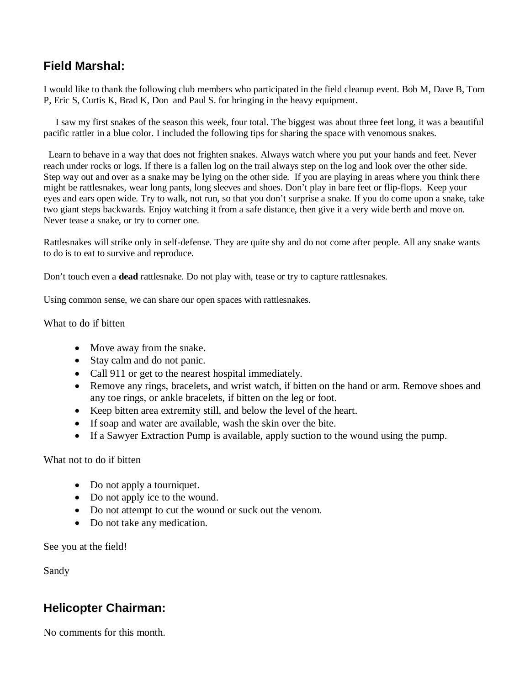# **Field Marshal:**

I would like to thank the following club members who participated in the field cleanup event. Bob M, Dave B, Tom P, Eric S, Curtis K, Brad K, Don and Paul S. for bringing in the heavy equipment.

 I saw my first snakes of the season this week, four total. The biggest was about three feet long, it was a beautiful pacific rattler in a blue color. I included the following tips for sharing the space with venomous snakes.

 Learn to behave in a way that does not frighten snakes. Always watch where you put your hands and feet. Never reach under rocks or logs. If there is a fallen log on the trail always step on the log and look over the other side. Step way out and over as a snake may be lying on the other side. If you are playing in areas where you think there might be rattlesnakes, wear long pants, long sleeves and shoes. Don't play in bare feet or flip-flops. Keep your eyes and ears open wide. Try to walk, not run, so that you don't surprise a snake. If you do come upon a snake, take two giant steps backwards. Enjoy watching it from a safe distance, then give it a very wide berth and move on. Never tease a snake, or try to corner one.

Rattlesnakes will strike only in self-defense. They are quite shy and do not come after people. All any snake wants to do is to eat to survive and reproduce.

Don't touch even a **dead** rattlesnake. Do not play with, tease or try to capture rattlesnakes.

Using common sense, we can share our open spaces with rattlesnakes.

What to do if bitten

- Move away from the snake.
- Stay calm and do not panic.
- Call 911 or get to the nearest hospital immediately.
- Remove any rings, bracelets, and wrist watch, if bitten on the hand or arm. Remove shoes and any toe rings, or ankle bracelets, if bitten on the leg or foot.
- Keep bitten area extremity still, and below the level of the heart.
- If soap and water are available, wash the skin over the bite.
- If a Sawyer Extraction Pump is available, apply suction to the wound using the pump.

#### What not to do if bitten

- Do not apply a tourniquet.
- Do not apply ice to the wound.
- Do not attempt to cut the wound or suck out the venom.
- Do not take any medication.

See you at the field!

Sandy

## **Helicopter Chairman:**

No comments for this month.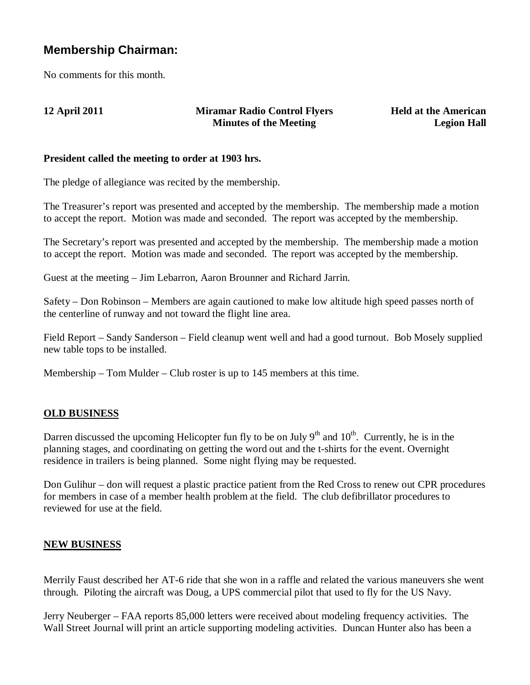## **Membership Chairman:**

No comments for this month.

#### **12 April 2011 Miramar Radio Control Flyers Minutes of the Meeting**

**Held at the American Legion Hall**

#### **President called the meeting to order at 1903 hrs.**

The pledge of allegiance was recited by the membership.

The Treasurer's report was presented and accepted by the membership. The membership made a motion to accept the report. Motion was made and seconded. The report was accepted by the membership.

The Secretary's report was presented and accepted by the membership. The membership made a motion to accept the report. Motion was made and seconded. The report was accepted by the membership.

Guest at the meeting – Jim Lebarron, Aaron Brounner and Richard Jarrin.

Safety – Don Robinson – Members are again cautioned to make low altitude high speed passes north of the centerline of runway and not toward the flight line area.

Field Report – Sandy Sanderson – Field cleanup went well and had a good turnout. Bob Mosely supplied new table tops to be installed.

Membership – Tom Mulder – Club roster is up to 145 members at this time.

### **OLD BUSINESS**

Darren discussed the upcoming Helicopter fun fly to be on July  $9<sup>th</sup>$  and  $10<sup>th</sup>$ . Currently, he is in the planning stages, and coordinating on getting the word out and the t-shirts for the event. Overnight residence in trailers is being planned. Some night flying may be requested.

Don Gulihur – don will request a plastic practice patient from the Red Cross to renew out CPR procedures for members in case of a member health problem at the field. The club defibrillator procedures to reviewed for use at the field.

#### **NEW BUSINESS**

Merrily Faust described her AT-6 ride that she won in a raffle and related the various maneuvers she went through. Piloting the aircraft was Doug, a UPS commercial pilot that used to fly for the US Navy.

Jerry Neuberger – FAA reports 85,000 letters were received about modeling frequency activities. The Wall Street Journal will print an article supporting modeling activities. Duncan Hunter also has been a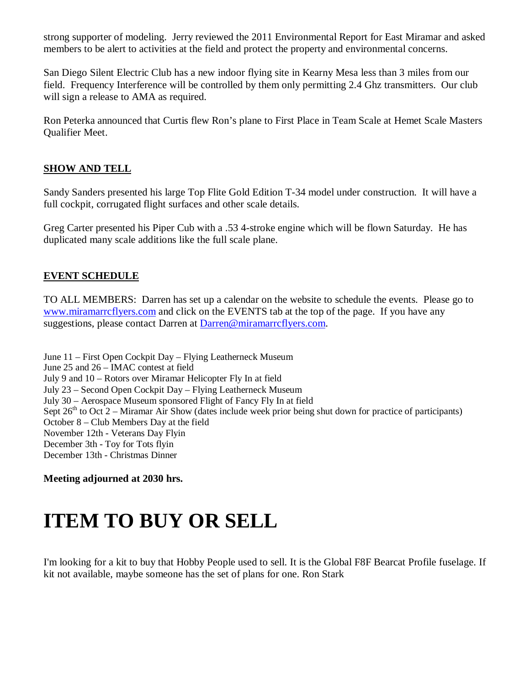strong supporter of modeling. Jerry reviewed the 2011 Environmental Report for East Miramar and asked members to be alert to activities at the field and protect the property and environmental concerns.

San Diego Silent Electric Club has a new indoor flying site in Kearny Mesa less than 3 miles from our field. Frequency Interference will be controlled by them only permitting 2.4 Ghz transmitters. Our club will sign a release to AMA as required.

Ron Peterka announced that Curtis flew Ron's plane to First Place in Team Scale at Hemet Scale Masters Qualifier Meet.

#### **SHOW AND TELL**

Sandy Sanders presented his large Top Flite Gold Edition T-34 model under construction. It will have a full cockpit, corrugated flight surfaces and other scale details.

Greg Carter presented his Piper Cub with a .53 4-stroke engine which will be flown Saturday. He has duplicated many scale additions like the full scale plane.

#### **EVENT SCHEDULE**

TO ALL MEMBERS: Darren has set up a calendar on the website to schedule the events. Please go to www.miramarrcflyers.com and click on the EVENTS tab at the top of the page. If you have any suggestions, please contact Darren at Darren@miramarrcflyers.com.

June 11 – First Open Cockpit Day – Flying Leatherneck Museum June 25 and 26 – IMAC contest at field July 9 and 10 – Rotors over Miramar Helicopter Fly In at field July 23 – Second Open Cockpit Day – Flying Leatherneck Museum July 30 – Aerospace Museum sponsored Flight of Fancy Fly In at field Sept  $26<sup>th</sup>$  to Oct 2 – Miramar Air Show (dates include week prior being shut down for practice of participants) October 8 – Club Members Day at the field November 12th - Veterans Day Flyin December 3th - Toy for Tots flyin December 13th - Christmas Dinner

**Meeting adjourned at 2030 hrs.** 

# **ITEM TO BUY OR SELL**

I'm looking for a kit to buy that Hobby People used to sell. It is the Global F8F Bearcat Profile fuselage. If kit not available, maybe someone has the set of plans for one. Ron Stark